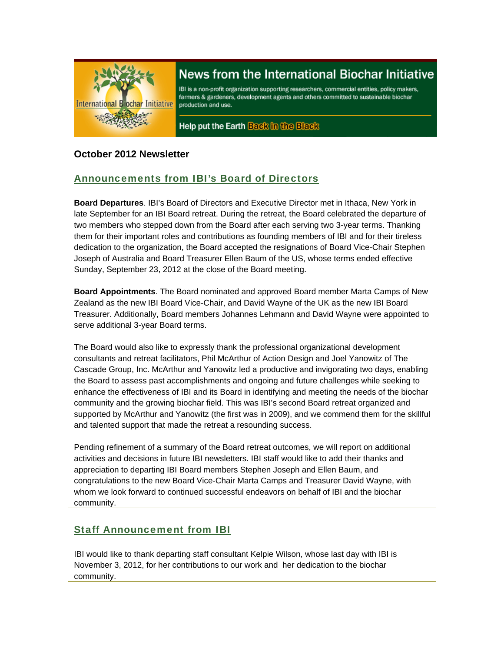

# News from the International Biochar Initiative

IBI is a non-profit organization supporting researchers, commercial entities, policy makers, farmers & gardeners, development agents and others committed to sustainable biochar production and use.

Help put the Earth Back in the Black

### **October 2012 Newsletter**

# Announcements from IBI's Board of Directors

**Board Departures**. IBI's Board of Directors and Executive Director met in Ithaca, New York in late September for an IBI Board retreat. During the retreat, the Board celebrated the departure of two members who stepped down from the Board after each serving two 3-year terms. Thanking them for their important roles and contributions as founding members of IBI and for their tireless dedication to the organization, the Board accepted the resignations of Board Vice-Chair Stephen Joseph of Australia and Board Treasurer Ellen Baum of the US, whose terms ended effective Sunday, September 23, 2012 at the close of the Board meeting.

**Board Appointments**. The Board nominated and approved Board member Marta Camps of New Zealand as the new IBI Board Vice-Chair, and David Wayne of the UK as the new IBI Board Treasurer. Additionally, Board members Johannes Lehmann and David Wayne were appointed to serve additional 3-year Board terms.

The Board would also like to expressly thank the professional organizational development consultants and retreat facilitators, Phil McArthur of Action Design and Joel Yanowitz of The Cascade Group, Inc. McArthur and Yanowitz led a productive and invigorating two days, enabling the Board to assess past accomplishments and ongoing and future challenges while seeking to enhance the effectiveness of IBI and its Board in identifying and meeting the needs of the biochar community and the growing biochar field. This was IBI's second Board retreat organized and supported by McArthur and Yanowitz (the first was in 2009), and we commend them for the skillful and talented support that made the retreat a resounding success.

Pending refinement of a summary of the Board retreat outcomes, we will report on additional activities and decisions in future IBI newsletters. IBI staff would like to add their thanks and appreciation to departing IBI Board members Stephen Joseph and Ellen Baum, and congratulations to the new Board Vice-Chair Marta Camps and Treasurer David Wayne, with whom we look forward to continued successful endeavors on behalf of IBI and the biochar community.

# Staff Announcement from IBI

IBI would like to thank departing staff consultant Kelpie Wilson, whose last day with IBI is November 3, 2012, for her contributions to our work and her dedication to the biochar community.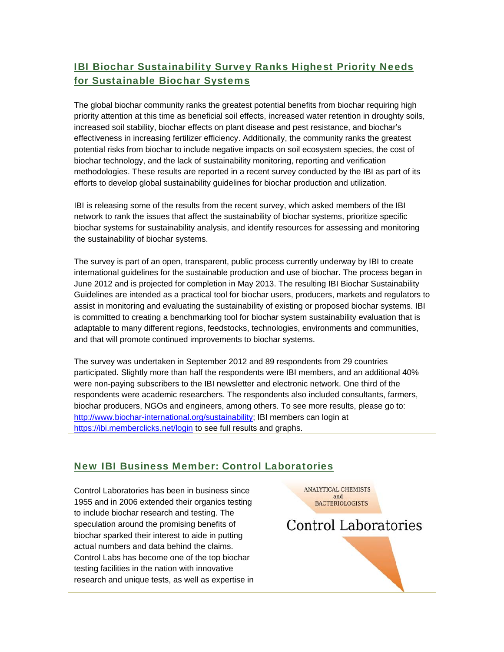# IBI Biochar Sustainability Survey Ranks Highest Priority Needs for Sustainable Biochar Systems

The global biochar community ranks the greatest potential benefits from biochar requiring high priority attention at this time as beneficial soil effects, increased water retention in droughty soils, increased soil stability, biochar effects on plant disease and pest resistance, and biochar's effectiveness in increasing fertilizer efficiency. Additionally, the community ranks the greatest potential risks from biochar to include negative impacts on soil ecosystem species, the cost of biochar technology, and the lack of sustainability monitoring, reporting and verification methodologies. These results are reported in a recent survey conducted by the IBI as part of its efforts to develop global sustainability guidelines for biochar production and utilization.

IBI is releasing some of the results from the recent survey, which asked members of the IBI network to rank the issues that affect the sustainability of biochar systems, prioritize specific biochar systems for sustainability analysis, and identify resources for assessing and monitoring the sustainability of biochar systems.

The survey is part of an open, transparent, public process currently underway by IBI to create international guidelines for the sustainable production and use of biochar. The process began in June 2012 and is projected for completion in May 2013. The resulting IBI Biochar Sustainability Guidelines are intended as a practical tool for biochar users, producers, markets and regulators to assist in monitoring and evaluating the sustainability of existing or proposed biochar systems. IBI is committed to creating a benchmarking tool for biochar system sustainability evaluation that is adaptable to many different regions, feedstocks, technologies, environments and communities, and that will promote continued improvements to biochar systems.

The survey was undertaken in September 2012 and 89 respondents from 29 countries participated. Slightly more than half the respondents were IBI members, and an additional 40% were non-paying subscribers to the IBI newsletter and electronic network. One third of the respondents were academic researchers. The respondents also included consultants, farmers, biochar producers, NGOs and engineers, among others. To see more results, please go to: http://www.biochar-international.org/sustainability; IBI members can login at https://ibi.memberclicks.net/login to see full results and graphs.

### New IBI Business Member: Control Laboratories

Control Laboratories has been in business since 1955 and in 2006 extended their organics testing to include biochar research and testing. The speculation around the promising benefits of biochar sparked their interest to aide in putting actual numbers and data behind the claims. Control Labs has become one of the top biochar testing facilities in the nation with innovative research and unique tests, as well as expertise in **ANALYTICAL CHEMISTS** and **BACTERIOLOGISTS** 

**Control Laboratories**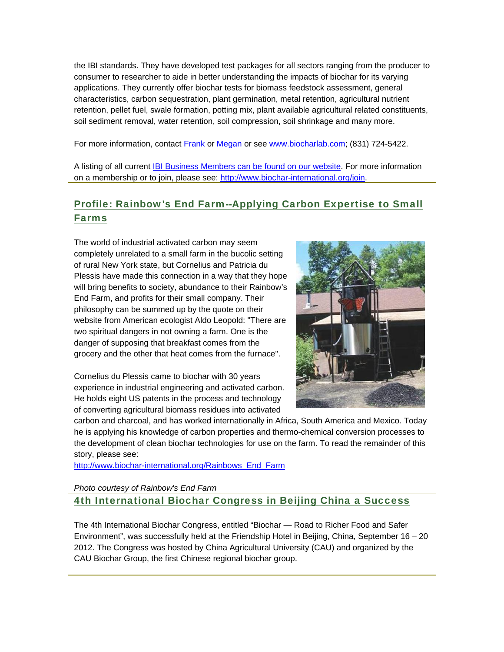the IBI standards. They have developed test packages for all sectors ranging from the producer to consumer to researcher to aide in better understanding the impacts of biochar for its varying applications. They currently offer biochar tests for biomass feedstock assessment, general characteristics, carbon sequestration, plant germination, metal retention, agricultural nutrient retention, pellet fuel, swale formation, potting mix, plant available agricultural related constituents, soil sediment removal, water retention, soil compression, soil shrinkage and many more.

For more information, contact **Frank or Megan or see www.biocharlab.com**; (831) 724-5422.

A listing of all current IBI Business Members can be found on our website. For more information on a membership or to join, please see: http://www.biochar-international.org/join.

# Profile: Rainbow's End Farm--Applying Carbon Expertise to Small Farms

The world of industrial activated carbon may seem completely unrelated to a small farm in the bucolic setting of rural New York state, but Cornelius and Patricia du Plessis have made this connection in a way that they hope will bring benefits to society, abundance to their Rainbow's End Farm, and profits for their small company. Their philosophy can be summed up by the quote on their website from American ecologist Aldo Leopold: "There are two spiritual dangers in not owning a farm. One is the danger of supposing that breakfast comes from the grocery and the other that heat comes from the furnace".

Cornelius du Plessis came to biochar with 30 years experience in industrial engineering and activated carbon. He holds eight US patents in the process and technology of converting agricultural biomass residues into activated



carbon and charcoal, and has worked internationally in Africa, South America and Mexico. Today he is applying his knowledge of carbon properties and thermo-chemical conversion processes to the development of clean biochar technologies for use on the farm. To read the remainder of this story, please see:

http://www.biochar-international.org/Rainbows\_End\_Farm

#### *Photo courtesy of Rainbow's End Farm*

4th International Biochar Congress in Beijing China a Success

The 4th International Biochar Congress, entitled "Biochar — Road to Richer Food and Safer Environment", was successfully held at the Friendship Hotel in Beijing, China, September 16 – 20 2012. The Congress was hosted by China Agricultural University (CAU) and organized by the CAU Biochar Group, the first Chinese regional biochar group.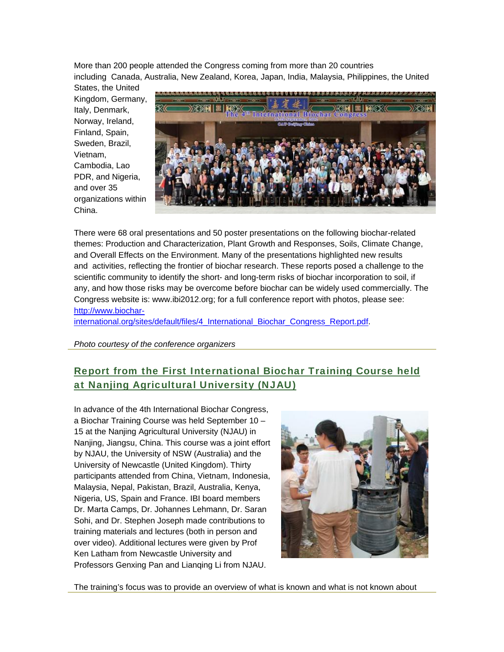More than 200 people attended the Congress coming from more than 20 countries including Canada, Australia, New Zealand, Korea, Japan, India, Malaysia, Philippines, the United

States, the United Kingdom, Germany, Italy, Denmark, Norway, Ireland, Finland, Spain, Sweden, Brazil, Vietnam, Cambodia, Lao PDR, and Nigeria, and over 35 organizations within China.



There were 68 oral presentations and 50 poster presentations on the following biochar-related themes: Production and Characterization, Plant Growth and Responses, Soils, Climate Change, and Overall Effects on the Environment. Many of the presentations highlighted new results and activities, reflecting the frontier of biochar research. These reports posed a challenge to the scientific community to identify the short- and long-term risks of biochar incorporation to soil, if any, and how those risks may be overcome before biochar can be widely used commercially. The Congress website is: www.ibi2012.org; for a full conference report with photos, please see: http://www.biochar-

international.org/sites/default/files/4\_International\_Biochar\_Congress\_Report.pdf.

*Photo courtesy of the conference organizers*

# Report from the First International Biochar Training Course held at Nanjing Agricultural University (NJAU)

In advance of the 4th International Biochar Congress, a Biochar Training Course was held September 10 – 15 at the Nanjing Agricultural University (NJAU) in Nanjing, Jiangsu, China. This course was a joint effort by NJAU, the University of NSW (Australia) and the University of Newcastle (United Kingdom). Thirty participants attended from China, Vietnam, Indonesia, Malaysia, Nepal, Pakistan, Brazil, Australia, Kenya, Nigeria, US, Spain and France. IBI board members Dr. Marta Camps, Dr. Johannes Lehmann, Dr. Saran Sohi, and Dr. Stephen Joseph made contributions to training materials and lectures (both in person and over video). Additional lectures were given by Prof Ken Latham from Newcastle University and Professors Genxing Pan and Lianqing Li from NJAU.



The training's focus was to provide an overview of what is known and what is not known about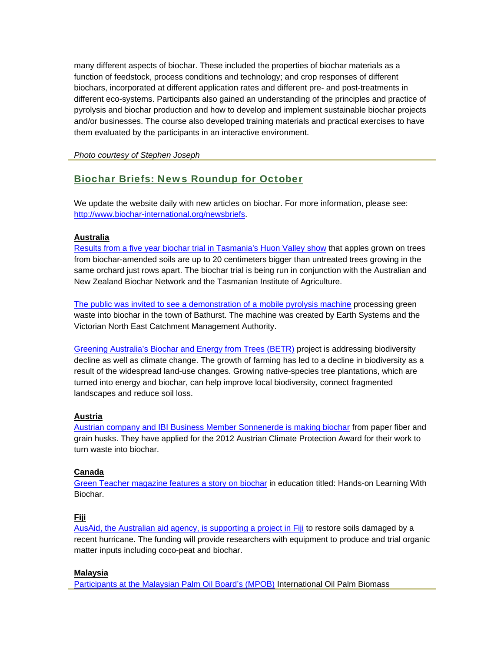many different aspects of biochar. These included the properties of biochar materials as a function of feedstock, process conditions and technology; and crop responses of different biochars, incorporated at different application rates and different pre- and post-treatments in different eco-systems. Participants also gained an understanding of the principles and practice of pyrolysis and biochar production and how to develop and implement sustainable biochar projects and/or businesses. The course also developed training materials and practical exercises to have them evaluated by the participants in an interactive environment.

*Photo courtesy of Stephen Joseph*

### Biochar Briefs: News Roundup for October

We update the website daily with new articles on biochar. For more information, please see: http://www.biochar-international.org/newsbriefs.

#### **Australia**

Results from a five year biochar trial in Tasmania's Huon Valley show that apples grown on trees from biochar-amended soils are up to 20 centimeters bigger than untreated trees growing in the same orchard just rows apart. The biochar trial is being run in conjunction with the Australian and New Zealand Biochar Network and the Tasmanian Institute of Agriculture.

The public was invited to see a demonstration of a mobile pyrolysis machine processing green waste into biochar in the town of Bathurst. The machine was created by Earth Systems and the Victorian North East Catchment Management Authority.

Greening Australia's Biochar and Energy from Trees (BETR) project is addressing biodiversity decline as well as climate change. The growth of farming has led to a decline in biodiversity as a result of the widespread land-use changes. Growing native-species tree plantations, which are turned into energy and biochar, can help improve local biodiversity, connect fragmented landscapes and reduce soil loss.

#### **Austria**

Austrian company and IBI Business Member Sonnenerde is making biochar from paper fiber and grain husks. They have applied for the 2012 Austrian Climate Protection Award for their work to turn waste into biochar.

#### **Canada**

Green Teacher magazine features a story on biochar in education titled: Hands-on Learning With Biochar.

#### **Fiji**

AusAid, the Australian aid agency, is supporting a project in Fiji to restore soils damaged by a recent hurricane. The funding will provide researchers with equipment to produce and trial organic matter inputs including coco-peat and biochar.

#### **Malaysia**

Participants at the Malaysian Palm Oil Board's (MPOB) International Oil Palm Biomass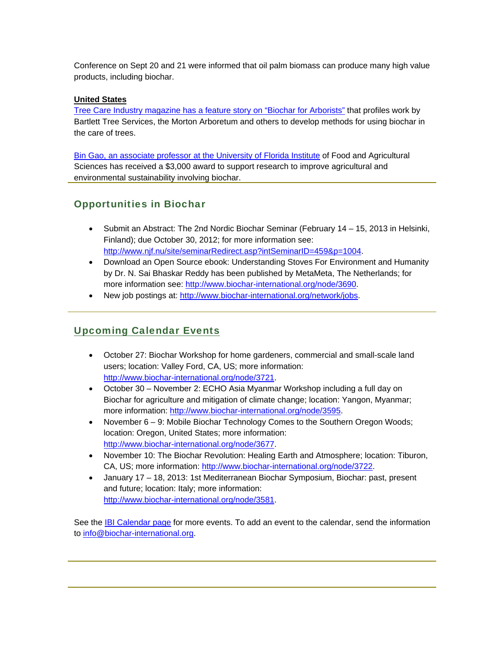Conference on Sept 20 and 21 were informed that oil palm biomass can produce many high value products, including biochar.

#### **United States**

Tree Care Industry magazine has a feature story on "Biochar for Arborists" that profiles work by Bartlett Tree Services, the Morton Arboretum and others to develop methods for using biochar in the care of trees.

Bin Gao, an associate professor at the University of Florida Institute of Food and Agricultural Sciences has received a \$3,000 award to support research to improve agricultural and environmental sustainability involving biochar.

### Opportunities in Biochar

- Submit an Abstract: The 2nd Nordic Biochar Seminar (February 14 15, 2013 in Helsinki, Finland); due October 30, 2012; for more information see: http://www.njf.nu/site/seminarRedirect.asp?intSeminarID=459&p=1004.
- Download an Open Source ebook: Understanding Stoves For Environment and Humanity by Dr. N. Sai Bhaskar Reddy has been published by MetaMeta, The Netherlands; for more information see: http://www.biochar-international.org/node/3690.
- New job postings at: http://www.biochar-international.org/network/jobs.

# Upcoming Calendar Events

- October 27: Biochar Workshop for home gardeners, commercial and small-scale land users; location: Valley Ford, CA, US; more information: http://www.biochar-international.org/node/3721.
- October 30 November 2: ECHO Asia Myanmar Workshop including a full day on Biochar for agriculture and mitigation of climate change; location: Yangon, Myanmar; more information: http://www.biochar-international.org/node/3595.
- November 6 9: Mobile Biochar Technology Comes to the Southern Oregon Woods; location: Oregon, United States; more information: http://www.biochar-international.org/node/3677.
- November 10: The Biochar Revolution: Healing Earth and Atmosphere; location: Tiburon, CA, US; more information: http://www.biochar-international.org/node/3722.
- January 17 18, 2013: 1st Mediterranean Biochar Symposium, Biochar: past, present and future; location: Italy; more information: http://www.biochar-international.org/node/3581.

See the IBI Calendar page for more events. To add an event to the calendar, send the information to info@biochar-international.org.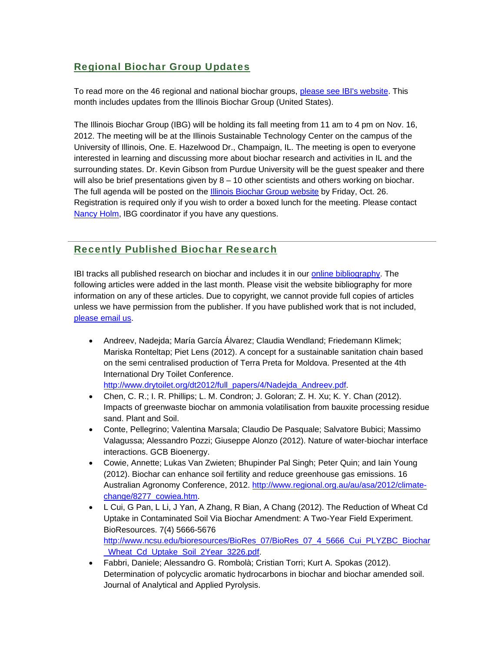# Regional Biochar Group Updates

To read more on the 46 regional and national biochar groups, please see IBI's website. This month includes updates from the Illinois Biochar Group (United States).

The Illinois Biochar Group (IBG) will be holding its fall meeting from 11 am to 4 pm on Nov. 16, 2012. The meeting will be at the Illinois Sustainable Technology Center on the campus of the University of Illinois, One. E. Hazelwood Dr., Champaign, IL. The meeting is open to everyone interested in learning and discussing more about biochar research and activities in IL and the surrounding states. Dr. Kevin Gibson from Purdue University will be the guest speaker and there will also be brief presentations given by  $8 - 10$  other scientists and others working on biochar. The full agenda will be posted on the Illinois Biochar Group website by Friday, Oct. 26. Registration is required only if you wish to order a boxed lunch for the meeting. Please contact Nancy Holm, IBG coordinator if you have any questions.

# Recently Published Biochar Research

IBI tracks all published research on biochar and includes it in our online bibliography. The following articles were added in the last month. Please visit the website bibliography for more information on any of these articles. Due to copyright, we cannot provide full copies of articles unless we have permission from the publisher. If you have published work that is not included, please email us.

 Andreev, Nadejda; María García Álvarez; Claudia Wendland; Friedemann Klimek; Mariska Ronteltap; Piet Lens (2012). A concept for a sustainable sanitation chain based on the semi centralised production of Terra Preta for Moldova. Presented at the 4th International Dry Toilet Conference.

http://www.drytoilet.org/dt2012/full\_papers/4/Nadejda\_Andreev.pdf.

- Chen, C. R.; I. R. Phillips; L. M. Condron; J. Goloran; Z. H. Xu; K. Y. Chan (2012). Impacts of greenwaste biochar on ammonia volatilisation from bauxite processing residue sand. Plant and Soil.
- Conte, Pellegrino; Valentina Marsala; Claudio De Pasquale; Salvatore Bubici; Massimo Valagussa; Alessandro Pozzi; Giuseppe Alonzo (2012). Nature of water-biochar interface interactions. GCB Bioenergy.
- Cowie, Annette; Lukas Van Zwieten; Bhupinder Pal Singh; Peter Quin; and Iain Young (2012). Biochar can enhance soil fertility and reduce greenhouse gas emissions. 16 Australian Agronomy Conference, 2012. http://www.regional.org.au/au/asa/2012/climatechange/8277\_cowiea.htm.
- L Cui, G Pan, L Li, J Yan, A Zhang, R Bian, A Chang (2012). The Reduction of Wheat Cd Uptake in Contaminated Soil Via Biochar Amendment: A Two-Year Field Experiment. BioResources. 7(4) 5666-5676 http://www.ncsu.edu/bioresources/BioRes\_07/BioRes\_07\_4\_5666\_Cui\_PLYZBC\_Biochar \_Wheat\_Cd\_Uptake\_Soil\_2Year\_3226.pdf.
- Fabbri, Daniele; Alessandro G. Rombolà; Cristian Torri; Kurt A. Spokas (2012). Determination of polycyclic aromatic hydrocarbons in biochar and biochar amended soil. Journal of Analytical and Applied Pyrolysis.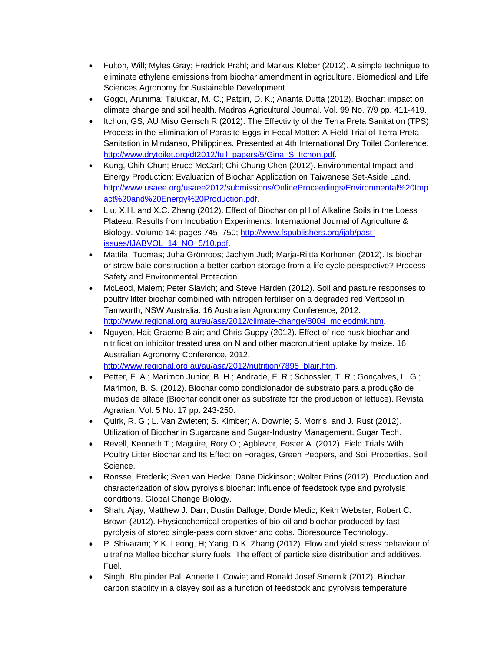- Fulton, Will; Myles Gray; Fredrick Prahl; and Markus Kleber (2012). A simple technique to eliminate ethylene emissions from biochar amendment in agriculture. Biomedical and Life Sciences Agronomy for Sustainable Development.
- Gogoi, Arunima; Talukdar, M. C.; Patgiri, D. K.; Ananta Dutta (2012). Biochar: impact on climate change and soil health. Madras Agricultural Journal. Vol. 99 No. 7/9 pp. 411-419.
- Itchon, GS; AU Miso Gensch R (2012). The Effectivity of the Terra Preta Sanitation (TPS) Process in the Elimination of Parasite Eggs in Fecal Matter: A Field Trial of Terra Preta Sanitation in Mindanao, Philippines. Presented at 4th International Dry Toilet Conference. http://www.drytoilet.org/dt2012/full\_papers/5/Gina\_S\_Itchon.pdf.
- Kung, Chih-Chun; Bruce McCarl; Chi-Chung Chen (2012). Environmental Impact and Energy Production: Evaluation of Biochar Application on Taiwanese Set-Aside Land. http://www.usaee.org/usaee2012/submissions/OnlineProceedings/Environmental%20Imp act%20and%20Energy%20Production.pdf.
- Liu, X.H. and X.C. Zhang (2012). Effect of Biochar on pH of Alkaline Soils in the Loess Plateau: Results from Incubation Experiments. International Journal of Agriculture & Biology. Volume 14: pages 745–750; http://www.fspublishers.org/ijab/pastissues/IJABVOL\_14\_NO\_5/10.pdf.
- Mattila, Tuomas; Juha Grönroos; Jachym Judl; Marja-Riitta Korhonen (2012). Is biochar or straw-bale construction a better carbon storage from a life cycle perspective? Process Safety and Environmental Protection.
- McLeod, Malem; Peter Slavich; and Steve Harden (2012). Soil and pasture responses to poultry litter biochar combined with nitrogen fertiliser on a degraded red Vertosol in Tamworth, NSW Australia. 16 Australian Agronomy Conference, 2012. http://www.regional.org.au/au/asa/2012/climate-change/8004\_mcleodmk.htm.
- Nguyen, Hai; Graeme Blair; and Chris Guppy (2012). Effect of rice husk biochar and nitrification inhibitor treated urea on N and other macronutrient uptake by maize. 16 Australian Agronomy Conference, 2012. http://www.regional.org.au/au/asa/2012/nutrition/7895\_blair.htm.
- Petter, F. A.; Marimon Junior, B. H.; Andrade, F. R.; Schossler, T. R.; Gonçalves, L. G.; Marimon, B. S. (2012). Biochar como condicionador de substrato para a produção de mudas de alface (Biochar conditioner as substrate for the production of lettuce). Revista Agrarian. Vol. 5 No. 17 pp. 243-250.
- Quirk, R. G.; L. Van Zwieten; S. Kimber; A. Downie; S. Morris; and J. Rust (2012). Utilization of Biochar in Sugarcane and Sugar-Industry Management. Sugar Tech.
- Revell, Kenneth T.; Maguire, Rory O.; Agblevor, Foster A. (2012). Field Trials With Poultry Litter Biochar and Its Effect on Forages, Green Peppers, and Soil Properties. Soil Science.
- Ronsse, Frederik; Sven van Hecke; Dane Dickinson; Wolter Prins (2012). Production and characterization of slow pyrolysis biochar: influence of feedstock type and pyrolysis conditions. Global Change Biology.
- Shah, Ajay; Matthew J. Darr; Dustin Dalluge; Dorde Medic; Keith Webster; Robert C. Brown (2012). Physicochemical properties of bio-oil and biochar produced by fast pyrolysis of stored single-pass corn stover and cobs. Bioresource Technology.
- P. Shivaram; Y.K. Leong, H; Yang, D.K. Zhang (2012). Flow and yield stress behaviour of ultrafine Mallee biochar slurry fuels: The effect of particle size distribution and additives. Fuel.
- Singh, Bhupinder Pal; Annette L Cowie; and Ronald Josef Smernik (2012). Biochar carbon stability in a clayey soil as a function of feedstock and pyrolysis temperature.